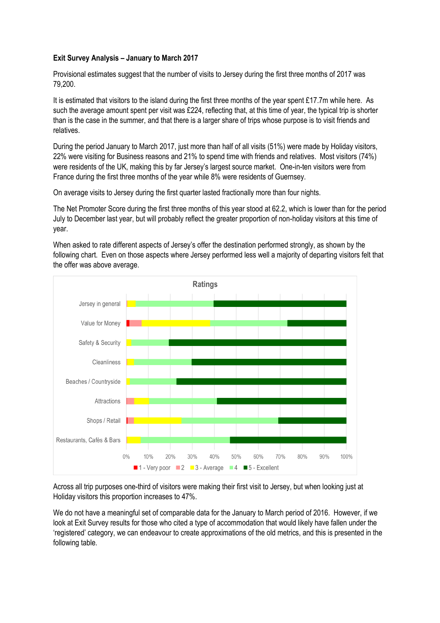## **Exit Survey Analysis – January to March 2017**

Provisional estimates suggest that the number of visits to Jersey during the first three months of 2017 was 79,200.

It is estimated that visitors to the island during the first three months of the year spent £17.7m while here. As such the average amount spent per visit was £224, reflecting that, at this time of year, the typical trip is shorter than is the case in the summer, and that there is a larger share of trips whose purpose is to visit friends and relatives.

During the period January to March 2017, just more than half of all visits (51%) were made by Holiday visitors, 22% were visiting for Business reasons and 21% to spend time with friends and relatives. Most visitors (74%) were residents of the UK, making this by far Jersey's largest source market. One-in-ten visitors were from France during the first three months of the year while 8% were residents of Guernsey.

On average visits to Jersey during the first quarter lasted fractionally more than four nights.

The Net Promoter Score during the first three months of this year stood at 62.2, which is lower than for the period July to December last year, but will probably reflect the greater proportion of non-holiday visitors at this time of year.

When asked to rate different aspects of Jersey's offer the destination performed strongly, as shown by the following chart. Even on those aspects where Jersey performed less well a majority of departing visitors felt that the offer was above average.



Across all trip purposes one-third of visitors were making their first visit to Jersey, but when looking just at Holiday visitors this proportion increases to 47%.

We do not have a meaningful set of comparable data for the January to March period of 2016. However, if we look at Exit Survey results for those who cited a type of accommodation that would likely have fallen under the 'registered' category, we can endeavour to create approximations of the old metrics, and this is presented in the following table.